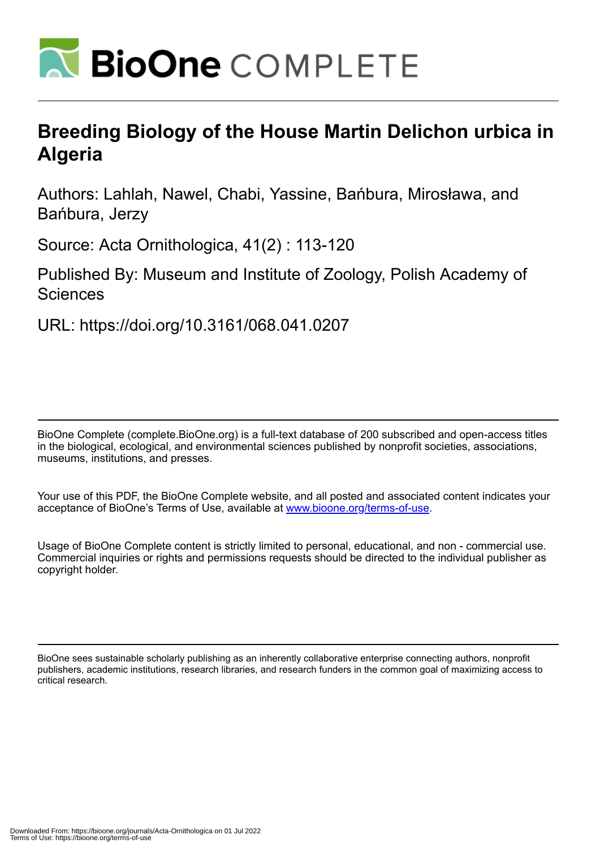

# **Breeding Biology of the House Martin Delichon urbica in Algeria**

Authors: Lahlah, Nawel, Chabi, Yassine, Bańbura, Mirosława, and Bańbura, Jerzy

Source: Acta Ornithologica, 41(2) : 113-120

Published By: Museum and Institute of Zoology, Polish Academy of **Sciences** 

URL: https://doi.org/10.3161/068.041.0207

BioOne Complete (complete.BioOne.org) is a full-text database of 200 subscribed and open-access titles in the biological, ecological, and environmental sciences published by nonprofit societies, associations, museums, institutions, and presses.

Your use of this PDF, the BioOne Complete website, and all posted and associated content indicates your acceptance of BioOne's Terms of Use, available at www.bioone.org/terms-of-use.

Usage of BioOne Complete content is strictly limited to personal, educational, and non - commercial use. Commercial inquiries or rights and permissions requests should be directed to the individual publisher as copyright holder.

BioOne sees sustainable scholarly publishing as an inherently collaborative enterprise connecting authors, nonprofit publishers, academic institutions, research libraries, and research funders in the common goal of maximizing access to critical research.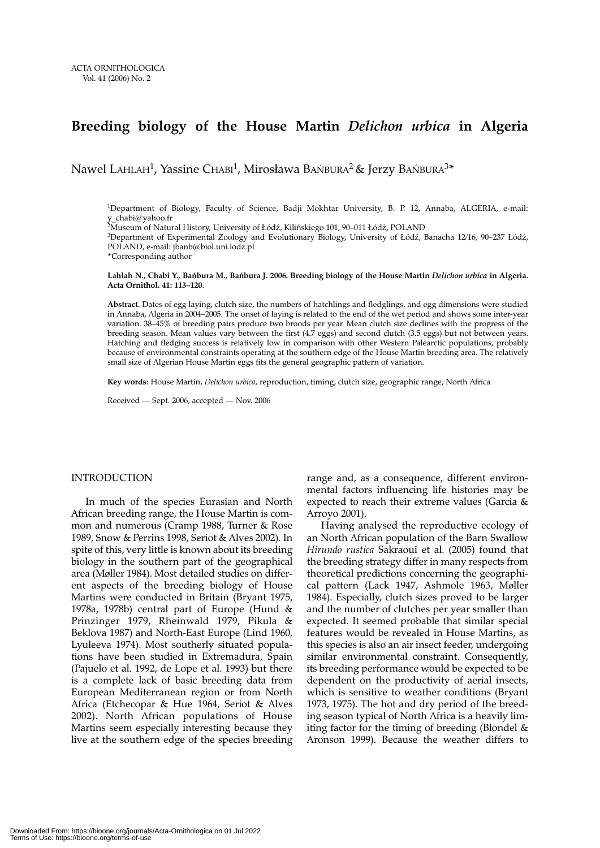# **Breeding biology of the House Martin** *Delichon urbica* **in Algeria**

Nawel LAHLAH<sup>1</sup>, Yassine CHABI<sup>1</sup>, Mirosława BAŃBURA<sup>2</sup> & Jerzy BAŃBURA<sup>3\*</sup>

1Department of Biology, Faculty of Science, Badji Mokhtar University, B. P. 12, Annaba, ALGERIA, e-mail: v chabi@yahoo.fr

2Museum of Natural History, University of Łódź, Kilińskiego 101, 90–011 Łódź, POLAND

3Department of Experimental Zoology and Evolutionary Biology, University of Łódź, Banacha 12/16, 90–237 Łódź, POLAND, e-mail: jbanb@biol.uni.lodz.pl

\*Corresponding author

**Lahlah N., Chabi Y., Bańbura M., Bańbura J. 2006. Breeding biology of the House Martin** *Delichon urbica* **in Algeria. Acta Ornithol. 41: 113–120.**

**Abstract.** Dates of egg laying, clutch size, the numbers of hatchlings and fledglings, and egg dimensions were studied in Annaba, Algeria in 2004–2005. The onset of laying is related to the end of the wet period and shows some inter-year variation. 38–45% of breeding pairs produce two broods per year. Mean clutch size declines with the progress of the breeding season. Mean values vary between the first (4.7 eggs) and second clutch (3.5 eggs) but not between years. Hatching and fledging success is relatively low in comparison with other Western Palearctic populations, probably because of environmental constraints operating at the southern edge of the House Martin breeding area. The relatively small size of Algerian House Martin eggs fits the general geographic pattern of variation.

**Key words:** House Martin, *Delichon urbica*, reproduction, timing, clutch size, geographic range, North Africa

Received — Sept. 2006, accepted — Nov. 2006

# INTRODUCTION

In much of the species Eurasian and North African breeding range, the House Martin is common and numerous (Cramp 1988, Turner & Rose 1989, Snow & Perrins 1998, Seriot & Alves 2002). In spite of this, very little is known about its breeding biology in the southern part of the geographical area (Møller 1984). Most detailed studies on different aspects of the breeding biology of House Martins were conducted in Britain (Bryant 1975, 1978a, 1978b) central part of Europe (Hund & Prinzinger 1979, Rheinwald 1979, Pikula & Beklova 1987) and North-East Europe (Lind 1960, Lyuleeva 1974). Most southerly situated populations have been studied in Extremadura, Spain (Pajuelo et al. 1992, de Lope et al. 1993) but there is a complete lack of basic breeding data from European Mediterranean region or from North Africa (Etchecopar & Hue 1964, Seriot & Alves 2002). North African populations of House Martins seem especially interesting because they live at the southern edge of the species breeding

range and, as a consequence, different environmental factors influencing life histories may be expected to reach their extreme values (Garcia & Arroyo 2001).

Having analysed the reproductive ecology of an North African population of the Barn Swallow *Hirundo rustica* Sakraoui et al. (2005) found that the breeding strategy differ in many respects from theoretical predictions concerning the geographical pattern (Lack 1947, Ashmole 1963, Møller 1984). Especially, clutch sizes proved to be larger and the number of clutches per year smaller than expected. It seemed probable that similar special features would be revealed in House Martins, as this species is also an air insect feeder, undergoing similar environmental constraint. Consequently, its breeding performance would be expected to be dependent on the productivity of aerial insects, which is sensitive to weather conditions (Bryant 1973, 1975). The hot and dry period of the breeding season typical of North Africa is a heavily limiting factor for the timing of breeding (Blondel & Aronson 1999). Because the weather differs to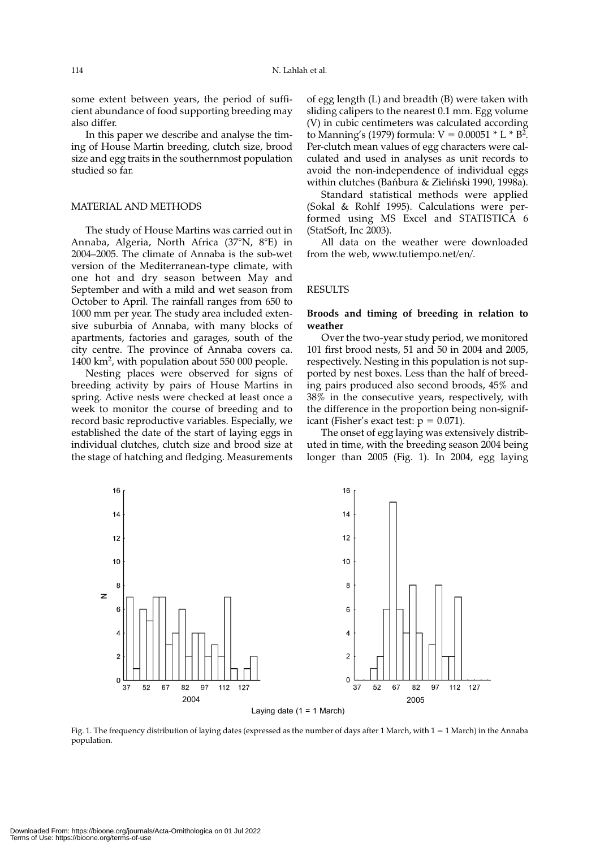some extent between years, the period of sufficient abundance of food supporting breeding may also differ.

In this paper we describe and analyse the timing of House Martin breeding, clutch size, brood size and egg traits in the southernmost population studied so far.

# MATERIAL AND METHODS

The study of House Martins was carried out in Annaba, Algeria, North Africa (37°N, 8°E) in 2004–2005. The climate of Annaba is the sub-wet version of the Mediterranean-type climate, with one hot and dry season between May and September and with a mild and wet season from October to April. The rainfall ranges from 650 to 1000 mm per year. The study area included extensive suburbia of Annaba, with many blocks of apartments, factories and garages, south of the city centre. The province of Annaba covers ca. 1400 km2, with population about 550 000 people.

Nesting places were observed for signs of breeding activity by pairs of House Martins in spring. Active nests were checked at least once a week to monitor the course of breeding and to record basic reproductive variables. Especially, we established the date of the start of laying eggs in individual clutches, clutch size and brood size at the stage of hatching and fledging. Measurements of egg length (L) and breadth (B) were taken with sliding calipers to the nearest 0.1 mm. Egg volume (V) in cubic centimeters was calculated according to Manning's (1979) formula:  $V = 0.00051 * L * B^2$ . Per-clutch mean values of egg characters were calculated and used in analyses as unit records to avoid the non-independence of individual eggs within clutches (Bańbura & Zieliński 1990, 1998a).

Standard statistical methods were applied (Sokal & Rohlf 1995). Calculations were performed using MS Excel and STATISTICA 6 (StatSoft, Inc 2003).

All data on the weather were downloaded from the web, www.tutiempo.net/en/.

# RESULTS

# **Broods and timing of breeding in relation to weather**

Over the two-year study period, we monitored 101 first brood nests, 51 and 50 in 2004 and 2005, respectively. Nesting in this population is not supported by nest boxes. Less than the half of breeding pairs produced also second broods, 45% and 38% in the consecutive years, respectively, with the difference in the proportion being non-significant (Fisher's exact test:  $p = 0.071$ ).

The onset of egg laying was extensively distributed in time, with the breeding season 2004 being longer than 2005 (Fig. 1). In 2004, egg laying



Fig. 1. The frequency distribution of laying dates (expressed as the number of days after 1 March, with 1 = 1 March) in the Annaba population.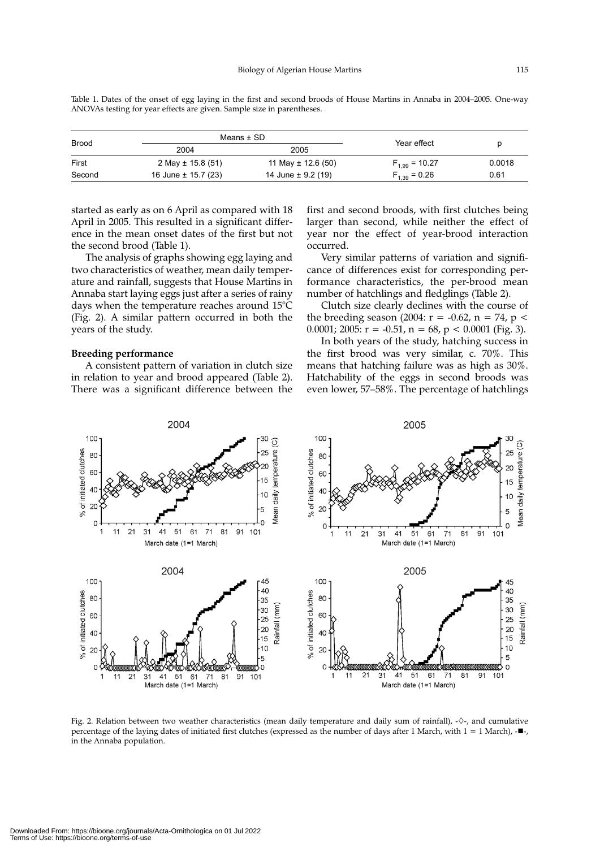Means ± SD Brood Year effect p 2004 2005 First 2 May ± 15.8 (51) 11 May ± 12.6 (50)  $F_{1,99} = 10.27$  0.0018<br>Second 16 June ± 15.7 (23) 14 June ± 9.2 (19)  $F_{1,39} = 0.26$  0.61 Second 16 June  $\pm$  15.7 (23) 14 June  $\pm$  9.2 (19)  $F_{1,39} = 0.26$  0.61

Table 1. Dates of the onset of egg laying in the first and second broods of House Martins in Annaba in 2004–2005. One-way ANOVAs testing for year effects are given. Sample size in parentheses.

started as early as on 6 April as compared with 18 April in 2005. This resulted in a significant difference in the mean onset dates of the first but not the second brood (Table 1).

The analysis of graphs showing egg laying and two characteristics of weather, mean daily temperature and rainfall, suggests that House Martins in Annaba start laying eggs just after a series of rainy days when the temperature reaches around 15°C (Fig. 2). A similar pattern occurred in both the years of the study.

# **Breeding performance**

A consistent pattern of variation in clutch size in relation to year and brood appeared (Table 2). There was a significant difference between the

first and second broods, with first clutches being larger than second, while neither the effect of year nor the effect of year-brood interaction occurred.

Very similar patterns of variation and significance of differences exist for corresponding performance characteristics, the per-brood mean number of hatchlings and fledglings (Table 2).

Clutch size clearly declines with the course of the breeding season (2004:  $r = -0.62$ ,  $n = 74$ ,  $p <$ 0.0001; 2005:  $r = -0.51$ ,  $n = 68$ ,  $p < 0.0001$  (Fig. 3).

In both years of the study, hatching success in the first brood was very similar, c. 70%. This means that hatching failure was as high as 30%. Hatchability of the eggs in second broods was even lower, 57–58%. The percentage of hatchlings



Fig. 2. Relation between two weather characteristics (mean daily temperature and daily sum of rainfall), - $\diamond$ -, and cumulative percentage of the laying dates of initiated first clutches (expressed as the number of days after 1 March, with  $1 = 1$  March),  $-\blacksquare$ in the Annaba population.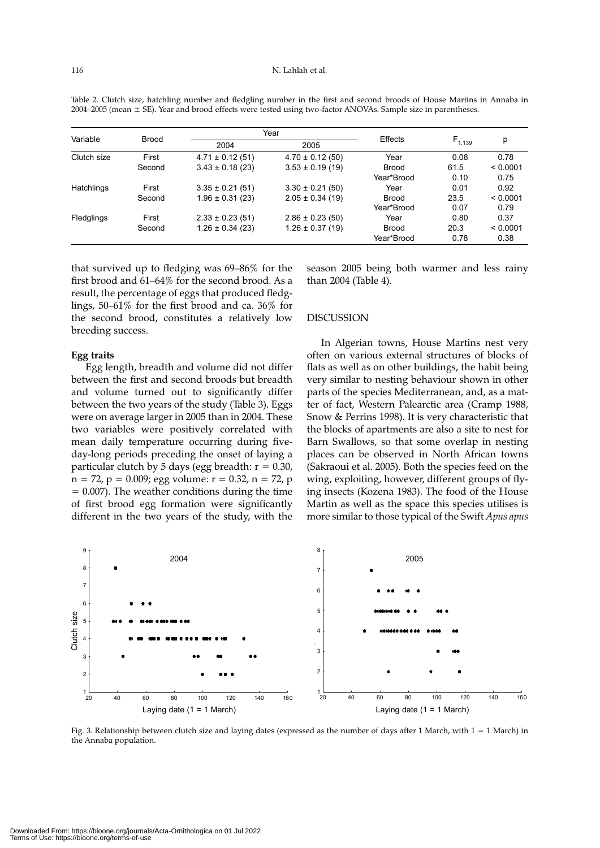| Variable    | <b>Brood</b> | Year                 |                      |              |             |          |
|-------------|--------------|----------------------|----------------------|--------------|-------------|----------|
|             |              | 2004                 | 2005                 | Effects      | $F_{1,139}$ | р        |
| Clutch size | First        | $4.71 \pm 0.12(51)$  | $4.70 \pm 0.12$ (50) | Year         | 0.08        | 0.78     |
|             | Second       | $3.43 \pm 0.18$ (23) | $3.53 \pm 0.19$ (19) | <b>Brood</b> | 61.5        | < 0.0001 |
|             |              |                      |                      | Year*Brood   | 0.10        | 0.75     |
| Hatchlings  | First        | $3.35 \pm 0.21$ (51) | $3.30 \pm 0.21$ (50) | Year         | 0.01        | 0.92     |
|             | Second       | $1.96 \pm 0.31$ (23) | $2.05 \pm 0.34$ (19) | <b>Brood</b> | 23.5        | < 0.0001 |
|             |              |                      |                      | Year*Brood   | 0.07        | 0.79     |
| Fledglings  | First        | $2.33 \pm 0.23$ (51) | $2.86 \pm 0.23$ (50) | Year         | 0.80        | 0.37     |
|             | Second       | $1.26 \pm 0.34$ (23) | $1.26 \pm 0.37(19)$  | <b>Brood</b> | 20.3        | < 0.0001 |
|             |              |                      |                      | Year*Brood   | 0.78        | 0.38     |

Table 2. Clutch size, hatchling number and fledgling number in the first and second broods of House Martins in Annaba in 2004–2005 (mean ± SE). Year and brood effects were tested using two-factor ANOVAs. Sample size in parentheses.

that survived up to fledging was 69–86% for the first brood and 61–64% for the second brood. As a result, the percentage of eggs that produced fledglings, 50–61% for the first brood and ca. 36% for the second brood, constitutes a relatively low breeding success.

#### **Egg traits**

Egg length, breadth and volume did not differ between the first and second broods but breadth and volume turned out to significantly differ between the two years of the study (Table 3). Eggs were on average larger in 2005 than in 2004. These two variables were positively correlated with mean daily temperature occurring during fiveday-long periods preceding the onset of laying a particular clutch by 5 days (egg breadth:  $r = 0.30$ ,  $n = 72$ ,  $p = 0.009$ ; egg volume:  $r = 0.32$ ,  $n = 72$ , p  $= 0.007$ ). The weather conditions during the time of first brood egg formation were significantly different in the two years of the study, with the season 2005 being both warmer and less rainy than 2004 (Table 4).

# **DISCUSSION**

In Algerian towns, House Martins nest very often on various external structures of blocks of flats as well as on other buildings, the habit being very similar to nesting behaviour shown in other parts of the species Mediterranean, and, as a matter of fact, Western Palearctic area (Cramp 1988, Snow & Perrins 1998). It is very characteristic that the blocks of apartments are also a site to nest for Barn Swallows, so that some overlap in nesting places can be observed in North African towns (Sakraoui et al. 2005). Both the species feed on the wing, exploiting, however, different groups of flying insects (Kozena 1983). The food of the House Martin as well as the space this species utilises is more similar to those typical of the Swift *Apus apus*



Fig. 3. Relationship between clutch size and laying dates (expressed as the number of days after 1 March, with  $1 = 1$  March) in the Annaba population.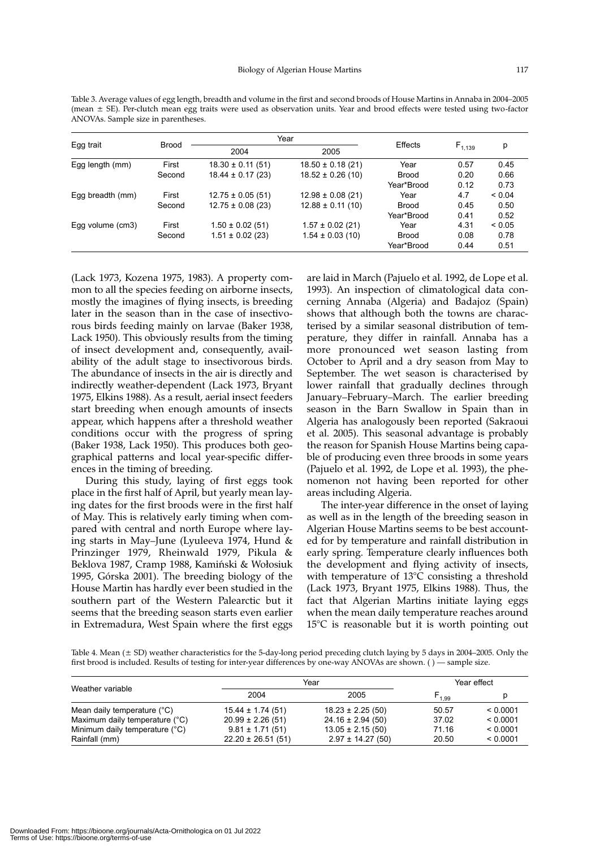| Table 3. Average values of egg length, breadth and volume in the first and second broods of House Martins in Annaba in 2004–2005 |
|----------------------------------------------------------------------------------------------------------------------------------|
| (mean $\pm$ SE). Per-clutch mean egg traits were used as observation units. Year and brood effects were tested using two-factor  |
| ANOVAs. Sample size in parentheses.                                                                                              |

|                   |              | Year                  |                       | Effects      |             |             |
|-------------------|--------------|-----------------------|-----------------------|--------------|-------------|-------------|
| Egg trait         | <b>Brood</b> | 2004                  | 2005                  |              | $F_{1,139}$ | р           |
| Egg length $(mm)$ | First        | $18.30 \pm 0.11$ (51) | $18.50 \pm 0.18$ (21) | Year         | 0.57        | 0.45        |
|                   | Second       | $18.44 \pm 0.17(23)$  | $18.52 \pm 0.26$ (10) | <b>Brood</b> | 0.20        | 0.66        |
|                   |              |                       |                       | Year*Brood   | 0.12        | 0.73        |
| Egg breadth (mm)  | First        | $12.75 \pm 0.05$ (51) | $12.98 \pm 0.08$ (21) | Year         | 4.7         | ${}< 0.04$  |
|                   | Second       | $12.75 \pm 0.08$ (23) | $12.88 \pm 0.11$ (10) | <b>Brood</b> | 0.45        | 0.50        |
|                   |              |                       |                       | Year*Brood   | 0.41        | 0.52        |
| Egg volume (cm3)  | First        | $1.50 \pm 0.02$ (51)  | $1.57 \pm 0.02$ (21)  | Year         | 4.31        | ${}_{0.05}$ |
|                   | Second       | $1.51 \pm 0.02$ (23)  | $1.54 \pm 0.03(10)$   | <b>Brood</b> | 0.08        | 0.78        |
|                   |              |                       |                       | Year*Brood   | 0.44        | 0.51        |

(Lack 1973, Kozena 1975, 1983). A property common to all the species feeding on airborne insects, mostly the imagines of flying insects, is breeding later in the season than in the case of insectivorous birds feeding mainly on larvae (Baker 1938, Lack 1950). This obviously results from the timing of insect development and, consequently, availability of the adult stage to insectivorous birds. The abundance of insects in the air is directly and indirectly weather-dependent (Lack 1973, Bryant 1975, Elkins 1988). As a result, aerial insect feeders start breeding when enough amounts of insects appear, which happens after a threshold weather conditions occur with the progress of spring (Baker 1938, Lack 1950). This produces both geographical patterns and local year-specific differences in the timing of breeding.

During this study, laying of first eggs took place in the first half of April, but yearly mean laying dates for the first broods were in the first half of May. This is relatively early timing when compared with central and north Europe where laying starts in May–June (Lyuleeva 1974, Hund & Prinzinger 1979, Rheinwald 1979, Pikula & Beklova 1987, Cramp 1988, Kamiński & Wołosiuk 1995, Górska 2001). The breeding biology of the House Martin has hardly ever been studied in the southern part of the Western Palearctic but it seems that the breeding season starts even earlier in Extremadura, West Spain where the first eggs are laid in March (Pajuelo et al. 1992, de Lope et al. 1993). An inspection of climatological data concerning Annaba (Algeria) and Badajoz (Spain) shows that although both the towns are characterised by a similar seasonal distribution of temperature, they differ in rainfall. Annaba has a more pronounced wet season lasting from October to April and a dry season from May to September. The wet season is characterised by lower rainfall that gradually declines through January–February–March. The earlier breeding season in the Barn Swallow in Spain than in Algeria has analogously been reported (Sakraoui et al. 2005). This seasonal advantage is probably the reason for Spanish House Martins being capable of producing even three broods in some years (Pajuelo et al. 1992, de Lope et al. 1993), the phenomenon not having been reported for other areas including Algeria.

The inter-year difference in the onset of laying as well as in the length of the breeding season in Algerian House Martins seems to be best accounted for by temperature and rainfall distribution in early spring. Temperature clearly influences both the development and flying activity of insects, with temperature of 13°C consisting a threshold (Lack 1973, Bryant 1975, Elkins 1988). Thus, the fact that Algerian Martins initiate laying eggs when the mean daily temperature reaches around 15°C is reasonable but it is worth pointing out

Table 4. Mean (± SD) weather characteristics for the 5-day-long period preceding clutch laying by 5 days in 2004–2005. Only the first brood is included. Results of testing for inter-year differences by one-way ANOVAs are shown. ( ) — sample size.

| Weather variable               | Year                  |                       | Year effect |          |
|--------------------------------|-----------------------|-----------------------|-------------|----------|
|                                | 2004                  | 2005                  | $F_{1,99}$  |          |
| Mean daily temperature (°C)    | $15.44 \pm 1.74(51)$  | $18.23 \pm 2.25(50)$  | 50.57       | < 0.0001 |
| Maximum daily temperature (°C) | $20.99 \pm 2.26(51)$  | $24.16 \pm 2.94$ (50) | 37.02       | < 0.0001 |
| Minimum daily temperature (°C) | $9.81 \pm 1.71(51)$   | $13.05 \pm 2.15(50)$  | 71.16       | < 0.0001 |
| Rainfall (mm)                  | $22.20 \pm 26.51(51)$ | $2.97 \pm 14.27(50)$  | 20.50       | < 0.0001 |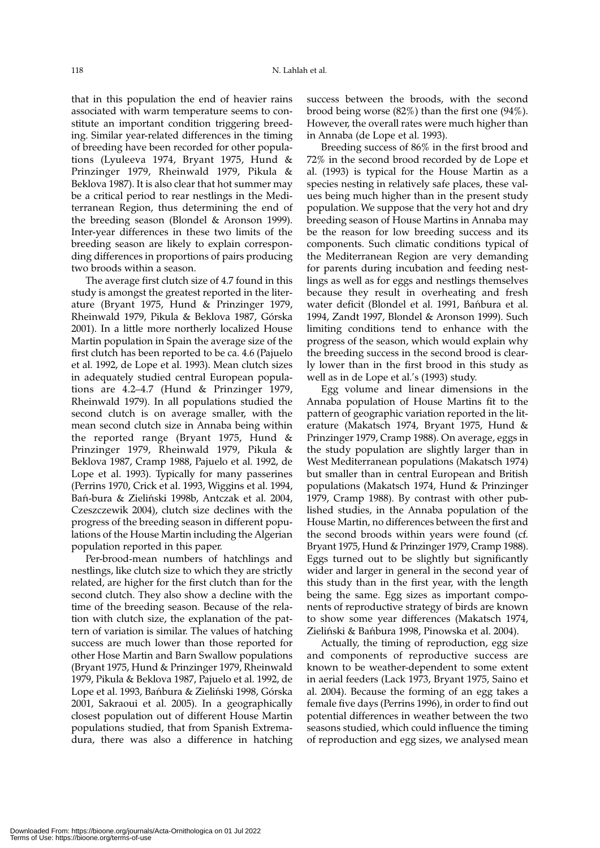that in this population the end of heavier rains associated with warm temperature seems to constitute an important condition triggering breeding. Similar year-related differences in the timing of breeding have been recorded for other populations (Lyuleeva 1974, Bryant 1975, Hund & Prinzinger 1979, Rheinwald 1979, Pikula & Beklova 1987). It is also clear that hot summer may be a critical period to rear nestlings in the Mediterranean Region, thus determining the end of the breeding season (Blondel & Aronson 1999). Inter-year differences in these two limits of the breeding season are likely to explain corresponding differences in proportions of pairs producing two broods within a season.

The average first clutch size of 4.7 found in this study is amongst the greatest reported in the literature (Bryant 1975, Hund & Prinzinger 1979, Rheinwald 1979, Pikula & Beklova 1987, Górska 2001). In a little more northerly localized House Martin population in Spain the average size of the first clutch has been reported to be ca. 4.6 (Pajuelo et al. 1992, de Lope et al. 1993). Mean clutch sizes in adequately studied central European populations are 4.2–4.7 (Hund & Prinzinger 1979, Rheinwald 1979). In all populations studied the second clutch is on average smaller, with the mean second clutch size in Annaba being within the reported range (Bryant 1975, Hund & Prinzinger 1979, Rheinwald 1979, Pikula & Beklova 1987, Cramp 1988, Pajuelo et al. 1992, de Lope et al. 1993). Typically for many passerines (Perrins 1970, Crick et al. 1993, Wiggins et al. 1994, Bań-bura & Zieliński 1998b, Antczak et al. 2004, Czeszczewik 2004), clutch size declines with the progress of the breeding season in different populations of the House Martin including the Algerian population reported in this paper.

Per-brood-mean numbers of hatchlings and nestlings, like clutch size to which they are strictly related, are higher for the first clutch than for the second clutch. They also show a decline with the time of the breeding season. Because of the relation with clutch size, the explanation of the pattern of variation is similar. The values of hatching success are much lower than those reported for other Hose Martin and Barn Swallow populations (Bryant 1975, Hund & Prinzinger 1979, Rheinwald 1979, Pikula & Beklova 1987, Pajuelo et al. 1992, de Lope et al. 1993, Bańbura & Zieliński 1998, Górska 2001, Sakraoui et al. 2005). In a geographically closest population out of different House Martin populations studied, that from Spanish Extremadura, there was also a difference in hatching success between the broods, with the second brood being worse (82%) than the first one (94%). However, the overall rates were much higher than in Annaba (de Lope et al. 1993).

Breeding success of 86% in the first brood and 72% in the second brood recorded by de Lope et al. (1993) is typical for the House Martin as a species nesting in relatively safe places, these values being much higher than in the present study population. We suppose that the very hot and dry breeding season of House Martins in Annaba may be the reason for low breeding success and its components. Such climatic conditions typical of the Mediterranean Region are very demanding for parents during incubation and feeding nestlings as well as for eggs and nestlings themselves because they result in overheating and fresh water deficit (Blondel et al. 1991, Bańbura et al. 1994, Zandt 1997, Blondel & Aronson 1999). Such limiting conditions tend to enhance with the progress of the season, which would explain why the breeding success in the second brood is clearly lower than in the first brood in this study as well as in de Lope et al.'s (1993) study.

Egg volume and linear dimensions in the Annaba population of House Martins fit to the pattern of geographic variation reported in the literature (Makatsch 1974, Bryant 1975, Hund & Prinzinger 1979, Cramp 1988). On average, eggs in the study population are slightly larger than in West Mediterranean populations (Makatsch 1974) but smaller than in central European and British populations (Makatsch 1974, Hund & Prinzinger 1979, Cramp 1988). By contrast with other published studies, in the Annaba population of the House Martin, no differences between the first and the second broods within years were found (cf. Bryant 1975, Hund & Prinzinger 1979, Cramp 1988). Eggs turned out to be slightly but significantly wider and larger in general in the second year of this study than in the first year, with the length being the same. Egg sizes as important components of reproductive strategy of birds are known to show some year differences (Makatsch 1974, Zieliński & Bańbura 1998, Pinowska et al. 2004).

Actually, the timing of reproduction, egg size and components of reproductive success are known to be weather-dependent to some extent in aerial feeders (Lack 1973, Bryant 1975, Saino et al. 2004). Because the forming of an egg takes a female five days (Perrins 1996), in order to find out potential differences in weather between the two seasons studied, which could influence the timing of reproduction and egg sizes, we analysed mean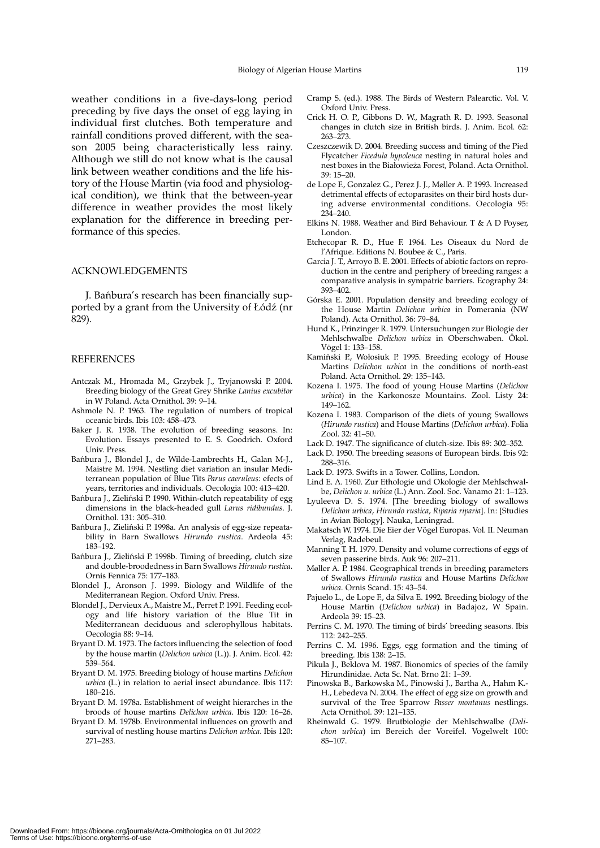preceding by five days the onset of egg laying in individual first clutches. Both temperature and rainfall conditions proved different, with the season 2005 being characteristically less rainy. Although we still do not know what is the causal link between weather conditions and the life history of the House Martin (via food and physiological condition), we think that the between-year difference in weather provides the most likely explanation for the difference in breeding performance of this species.

# ACKNOWLEDGEMENTS

J. Bańbura's research has been financially supported by a grant from the University of Łódź (nr 829).

## **REFERENCES**

- Antczak M., Hromada M., Grzybek J., Tryjanowski P. 2004. Breeding biology of the Great Grey Shrike *Lanius excubitor* in W Poland. Acta Ornithol. 39: 9–14.
- Ashmole N. P. 1963. The regulation of numbers of tropical oceanic birds. Ibis 103: 458–473.
- Baker J. R. 1938. The evolution of breeding seasons. In: Evolution. Essays presented to E. S. Goodrich. Oxford Univ. Press.
- Bańbura J., Blondel J., de Wilde-Lambrechts H., Galan M-J., Maistre M. 1994. Nestling diet variation an insular Mediterranean population of Blue Tits *Parus caeruleus*: efects of years, territories and individuals. Oecologia 100: 413–420.
- Bańbura J., Zieliński P. 1990. Within-clutch repeatability of egg dimensions in the black-headed gull *Larus ridibundus*. J. Ornithol. 131: 305–310.
- Bańbura J., Zieliński P. 1998a. An analysis of egg-size repeatability in Barn Swallows *Hirundo rustica*. Ardeola 45: 183–192.
- Bańbura J., Zieliński P. 1998b. Timing of breeding, clutch size and double-broodedness in Barn Swallows *Hirundo rustica*. Ornis Fennica 75: 177–183.
- Blondel J., Aronson J. 1999. Biology and Wildlife of the Mediterranean Region. Oxford Univ. Press.
- Blondel J., Dervieux A., Maistre M., Perret P. 1991. Feeding ecology and life history variation of the Blue Tit in Mediterranean deciduous and sclerophyllous habitats. Oecologia 88: 9–14.
- Bryant D. M. 1973. The factors influencing the selection of food by the house martin (*Delichon urbica* (L.)). J. Anim. Ecol. 42: 539–564.
- Bryant D. M. 1975. Breeding biology of house martins *Delichon urbica* (L.) in relation to aerial insect abundance. Ibis 117: 180–216.
- Bryant D. M. 1978a. Establishment of weight hierarches in the broods of house martins *Delichon urbica*. Ibis 120: 16–26.
- Bryant D. M. 1978b. Environmental influences on growth and survival of nestling house martins *Delichon urbica*. Ibis 120: 271–283.
- Cramp S. (ed.). 1988. The Birds of Western Palearctic. Vol. V. Oxford Univ. Press.
- Crick H. O. P., Gibbons D. W., Magrath R. D. 1993. Seasonal changes in clutch size in British birds. J. Anim. Ecol. 62:
- Czeszczewik D. 2004. Breeding success and timing of the Pied Flycatcher *Ficedula hypoleuca* nesting in natural holes and nest boxes in the Białowieża Forest, Poland. Acta Ornithol. 39: 15–20.
- de Lope F., Gonzalez G., Perez J. J., Møller A. P. 1993. Increased detrimental effects of ectoparasites on their bird hosts during adverse environmental conditions. Oecologia 95: 234–240.
- Elkins N. 1988. Weather and Bird Behaviour. T & A D Poyser, London.
- Etchecopar R. D., Hue F. 1964. Les Oiseaux du Nord de l'Afrique. Editions N. Boubee & C., Paris.
- Garcia J. T., Arroyo B. E. 2001. Effects of abiotic factors on reproduction in the centre and periphery of breeding ranges: a comparative analysis in sympatric barriers. Ecography 24: 393–402.
- Górska E. 2001. Population density and breeding ecology of the House Martin *Delichon urbica* in Pomerania (NW Poland). Acta Ornithol. 36: 79–84.
- Hund K., Prinzinger R. 1979. Untersuchungen zur Biologie der Mehlschwalbe *Delichon urbica* in Oberschwaben. Ökol. Vögel 1: 133–158.
- Kamiński P., Wołosiuk P. 1995. Breeding ecology of House Martins *Delichon urbica* in the conditions of north-east Poland. Acta Ornithol. 29: 135–143.
- Kozena I. 1975. The food of young House Martins (*Delichon urbica*) in the Karkonosze Mountains. Zool. Listy 24: 149–162.
- Kozena I. 1983. Comparison of the diets of young Swallows (*Hirundo rustica*) and House Martins (*Delichon urbica*). Folia Zool. 32: 41–50.
- Lack D. 1947. The significance of clutch-size. Ibis 89: 302–352.
- Lack D. 1950. The breeding seasons of European birds. Ibis 92: 288–316.
- Lack D. 1973. Swifts in a Tower. Collins, London.
- Lind E. A. 1960. Zur Ethologie und Okologie der Mehlschwalbe, *Delichon u. urbica* (L.) Ann. Zool. Soc. Vanamo 21: 1–123.
- Lyuleeva D. S. 1974. [The breeding biology of swallows *Delichon urbica*, *Hirundo rustica*, *Riparia riparia*]. In: [Studies in Avian Biology]. Nauka, Leningrad.
- Makatsch W. 1974. Die Eier der Vögel Europas. Vol. II. Neuman Verlag, Radebeul.
- Manning T. H. 1979. Density and volume corrections of eggs of seven passerine birds. Auk 96: 207–211.
- Møller A. P. 1984. Geographical trends in breeding parameters of Swallows *Hirundo rustica* and House Martins *Delichon urbica*. Ornis Scand. 15: 43–54.
- Pajuelo L., de Lope F., da Silva E. 1992. Breeding biology of the House Martin (*Delichon urbica*) in Badajoz, W Spain. Ardeola 39: 15–23.
- Perrins C. M. 1970. The timing of birds' breeding seasons. Ibis 112: 242–255.
- Perrins C. M. 1996. Eggs, egg formation and the timing of breeding. Ibis 138: 2–15.
- Pikula J., Beklova M. 1987. Bionomics of species of the family Hirundinidae. Acta Sc. Nat. Brno 21: 1–39.
- Pinowska B., Barkowska M., Pinowski J., Bartha A., Hahm K.- H., Lebedeva N. 2004. The effect of egg size on growth and survival of the Tree Sparrow *Passer montanus* nestlings. Acta Ornithol. 39: 121–135.
- Rheinwald G. 1979. Brutbiologie der Mehlschwalbe (*Delichon urbica*) im Bereich der Voreifel. Vogelwelt 100: 85–107.